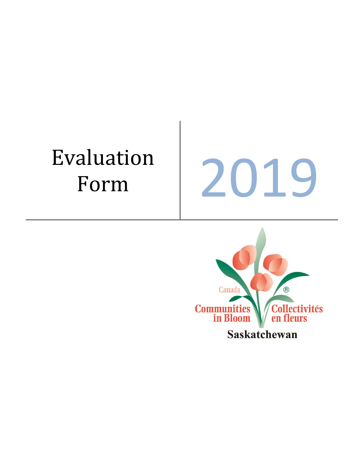# Evaluation

aluation<br>Form 2019

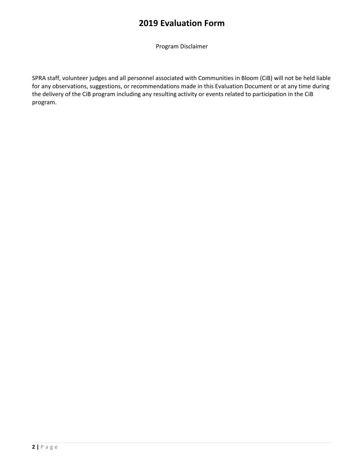Program Disclaimer

SPRA staff, volunteer judges and all personnel associated with Communities in Bloom (CiB) will not be held liable for any observations, suggestions, or recommendations made in this Evaluation Document or at any time during the delivery of the CiB program including any resulting activity or events related to participation in the CiB program.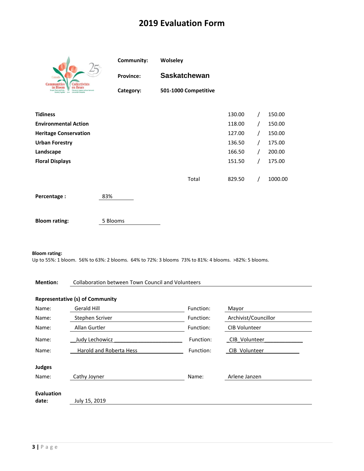|                                                                                                                                            | Community:       | Wolseley             |        |   |         |
|--------------------------------------------------------------------------------------------------------------------------------------------|------------------|----------------------|--------|---|---------|
| Canada<br><b>Communities</b><br><b>Collectivités</b>                                                                                       | <b>Province:</b> | <b>Saskatchewan</b>  |        |   |         |
| in Bloom<br>en fleurs<br>Pecole, Plante and Pride<br>Chovere et expages vertices harmonie<br>Growing Together a wa une société florissante | Category:        | 501-1000 Competitive |        |   |         |
| <b>Tidiness</b>                                                                                                                            |                  |                      | 130.00 | T | 150.00  |
| <b>Environmental Action</b>                                                                                                                |                  |                      | 118.00 | T | 150.00  |
| <b>Heritage Conservation</b>                                                                                                               |                  |                      | 127.00 | T | 150.00  |
| <b>Urban Forestry</b>                                                                                                                      |                  |                      | 136.50 | T | 175.00  |
| Landscape                                                                                                                                  |                  |                      | 166.50 |   | 200.00  |
| <b>Floral Displays</b>                                                                                                                     |                  |                      | 151.50 |   | 175.00  |
|                                                                                                                                            |                  | Total                | 829.50 |   | 1000.00 |
| Percentage:                                                                                                                                | 83%              |                      |        |   |         |
| <b>Bloom rating:</b>                                                                                                                       | 5 Blooms         |                      |        |   |         |

#### **Bloom rating:**

Up to 55%: 1 bloom. 56% to 63%: 2 blooms. 64% to 72%: 3 blooms 73% to 81%: 4 blooms. >82%: 5 blooms.

#### **Mention:** Collaboration between Town Council and Volunteers

#### **Representative (s) of Community**

| Name:                      | Gerald Hill                    | Function: | Mayor                |
|----------------------------|--------------------------------|-----------|----------------------|
| Name:                      | Stephen Scriver                | Function: | Archivist/Councillor |
| Name:                      | Allan Gurtler                  | Function: | <b>CIB Volunteer</b> |
| Name:                      | Judy Lechowicz                 | Function: | CIB Volunteer        |
| Name:                      | <b>Harold and Roberta Hess</b> | Function: | CIB Volunteer        |
| <b>Judges</b><br>Name:     |                                | Name:     | Arlene Janzen        |
|                            | Cathy Joyner                   |           |                      |
| <b>Evaluation</b><br>date: | July 15, 2019                  |           |                      |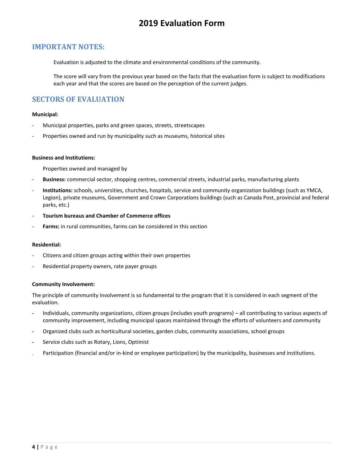#### **IMPORTANT NOTES:**

Evaluation is adjusted to the climate and environmental conditions of the community.

The score will vary from the previous year based on the facts that the evaluation form is subject to modifications each year and that the scores are based on the perception of the current judges.

#### **SECTORS OF EVALUATION**

#### **Municipal:**

- Municipal properties, parks and green spaces, streets, streetscapes
- Properties owned and run by municipality such as museums, historical sites

#### **Business and Institutions:**

Properties owned and managed by

- **Business:** commercial sector, shopping centres, commercial streets, industrial parks, manufacturing plants
- **Institutions:** schools, universities, churches, hospitals, service and community organization buildings (such as YMCA, Legion), private museums, Government and Crown Corporations buildings (such as Canada Post, provincial and federal parks, etc.)
- **Tourism bureaus and Chamber of Commerce offices**
- Farms: in rural communities, farms can be considered in this section

#### **Residential:**

- Citizens and citizen groups acting within their own properties
- Residential property owners, rate payer groups

#### **Community Involvement:**

The principle of community involvement is so fundamental to the program that it is considered in each segment of the evaluation.

- Individuals, community organizations, citizen groups (includes youth programs) all contributing to various aspects of community improvement, including municipal spaces maintained through the efforts of volunteers and community
- Organized clubs such as horticultural societies, garden clubs, community associations, school groups
- Service clubs such as Rotary, Lions, Optimist
- Participation (financial and/or in-kind or employee participation) by the municipality, businesses and institutions.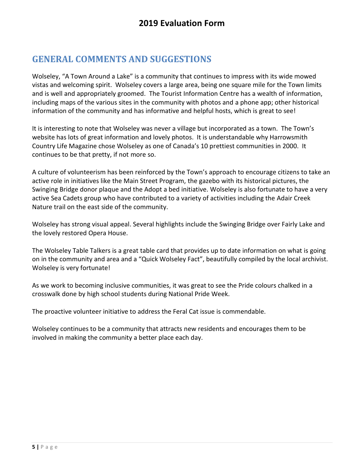# **GENERAL COMMENTS AND SUGGESTIONS**

Wolseley, "A Town Around a Lake" is a community that continues to impress with its wide mowed vistas and welcoming spirit. Wolseley covers a large area, being one square mile for the Town limits and is well and appropriately groomed. The Tourist Information Centre has a wealth of information, including maps of the various sites in the community with photos and a phone app; other historical information of the community and has informative and helpful hosts, which is great to see!

It is interesting to note that Wolseley was never a village but incorporated as a town. The Town's website has lots of great information and lovely photos. It is understandable why Harrowsmith Country Life Magazine chose Wolseley as one of Canada's 10 prettiest communities in 2000. It continues to be that pretty, if not more so.

A culture of volunteerism has been reinforced by the Town's approach to encourage citizens to take an active role in initiatives like the Main Street Program, the gazebo with its historical pictures, the Swinging Bridge donor plaque and the Adopt a bed initiative. Wolseley is also fortunate to have a very active Sea Cadets group who have contributed to a variety of activities including the Adair Creek Nature trail on the east side of the community.

Wolseley has strong visual appeal. Several highlights include the Swinging Bridge over Fairly Lake and the lovely restored Opera House.

The Wolseley Table Talkers is a great table card that provides up to date information on what is going on in the community and area and a "Quick Wolseley Fact", beautifully compiled by the local archivist. Wolseley is very fortunate!

As we work to becoming inclusive communities, it was great to see the Pride colours chalked in a crosswalk done by high school students during National Pride Week.

The proactive volunteer initiative to address the Feral Cat issue is commendable.

Wolseley continues to be a community that attracts new residents and encourages them to be involved in making the community a better place each day.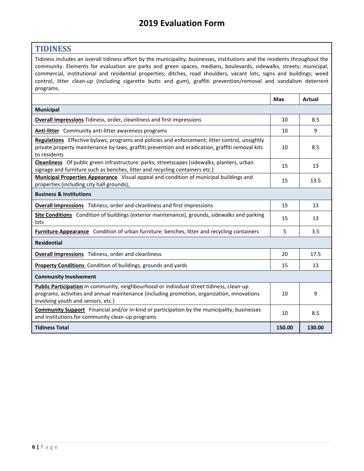#### **TIDINESS**

Tidiness includes an overall tidiness effort by the municipality, businesses, institutions and the residents throughout the community. Elements for evaluation are parks and green spaces, medians, boulevards, sidewalks, streets; municipal, commercial, institutional and residential properties; ditches, road shoulders, vacant lots, signs and buildings; weed control, litter clean-up (including cigarette butts and gum), graffiti prevention/removal and vandalism deterrent programs.

<span id="page-5-0"></span>

|                                                                                                                                                                                                                               | <b>Max</b> | <b>Actual</b> |
|-------------------------------------------------------------------------------------------------------------------------------------------------------------------------------------------------------------------------------|------------|---------------|
| <b>Municipal</b>                                                                                                                                                                                                              |            |               |
| <b>Overall Impressions</b> Tidiness, order, cleanliness and first impressions                                                                                                                                                 | 10         | 8.5           |
| <b>Anti-litter</b> Community anti-litter awareness programs                                                                                                                                                                   | 10         | 9             |
| Regulations Effective bylaws, programs and policies and enforcement; litter control, unsightly<br>private property maintenance by-laws, graffiti prevention and eradication, graffiti removal kits<br>to residents            | 10         | 8.5           |
| Cleanliness Of public green infrastructure: parks, streetscapes (sidewalks, planters, urban<br>signage and furniture such as benches, litter and recycling containers etc.)                                                   | 15         | 13            |
| <b>Municipal Properties Appearance</b> Visual appeal and condition of municipal buildings and<br>properties (including city hall grounds),                                                                                    | 15         | 13.5          |
| <b>Business &amp; Institutions</b>                                                                                                                                                                                            |            |               |
| <b>Overall Impressions</b> Tidiness, order and cleanliness and first impressions                                                                                                                                              | 15         | 13            |
| <b>Site Conditions</b> Condition of buildings (exterior maintenance), grounds, sidewalks and parking<br>lots                                                                                                                  | 15         | 13            |
| Furniture Appearance Condition of urban furniture: benches, litter and recycling containers                                                                                                                                   | 5          | 3.5           |
| <b>Residential</b>                                                                                                                                                                                                            |            |               |
| <b>Overall Impressions</b> Tidiness, order and cleanliness                                                                                                                                                                    | 20         | 17.5          |
| Property Conditions Condition of buildings, grounds and yards                                                                                                                                                                 | 15         | 13            |
| <b>Community Involvement</b>                                                                                                                                                                                                  |            |               |
| Public Participation In community, neighbourhood or individual street tidiness, clean-up<br>programs, activities and annual maintenance (including promotion, organization, innovations<br>involving youth and seniors, etc.) | 10         | 9             |
| <b>Community Support</b> Financial and/or in-kind or participation by the municipality, businesses<br>and institutions for community clean-up programs                                                                        | 10         | 8.5           |
| <b>Tidiness Total</b>                                                                                                                                                                                                         | 150.00     | 130.00        |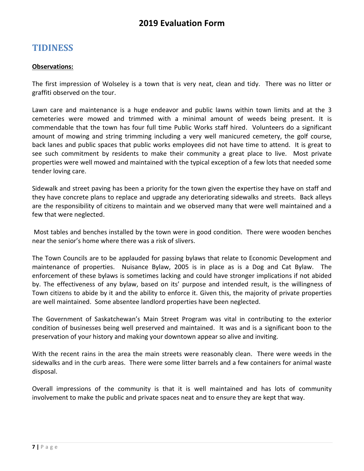## **TIDINESS**

#### **Observations:**

The first impression of Wolseley is a town that is very neat, clean and tidy. There was no litter or graffiti observed on the tour.

Lawn care and maintenance is a huge endeavor and public lawns within town limits and at the 3 cemeteries were mowed and trimmed with a minimal amount of weeds being present. It is commendable that the town has four full time Public Works staff hired. Volunteers do a significant amount of mowing and string trimming including a very well manicured cemetery, the golf course, back lanes and public spaces that public works employees did not have time to attend. It is great to see such commitment by residents to make their community a great place to live. Most private properties were well mowed and maintained with the typical exception of a few lots that needed some tender loving care.

Sidewalk and street paving has been a priority for the town given the expertise they have on staff and they have concrete plans to replace and upgrade any deteriorating sidewalks and streets. Back alleys are the responsibility of citizens to maintain and we observed many that were well maintained and a few that were neglected.

Most tables and benches installed by the town were in good condition. There were wooden benches near the senior's home where there was a risk of slivers.

The Town Councils are to be applauded for passing bylaws that relate to Economic Development and maintenance of properties. Nuisance Bylaw, 2005 is in place as is a Dog and Cat Bylaw. The enforcement of these bylaws is sometimes lacking and could have stronger implications if not abided by. The effectiveness of any bylaw, based on its' purpose and intended result, is the willingness of Town citizens to abide by it and the ability to enforce it. Given this, the majority of private properties are well maintained. Some absentee landlord properties have been neglected.

The Government of Saskatchewan's Main Street Program was vital in contributing to the exterior condition of businesses being well preserved and maintained. It was and is a significant boon to the preservation of your history and making your downtown appear so alive and inviting.

With the recent rains in the area the main streets were reasonably clean. There were weeds in the sidewalks and in the curb areas. There were some litter barrels and a few containers for animal waste disposal.

Overall impressions of the community is that it is well maintained and has lots of community involvement to make the public and private spaces neat and to ensure they are kept that way.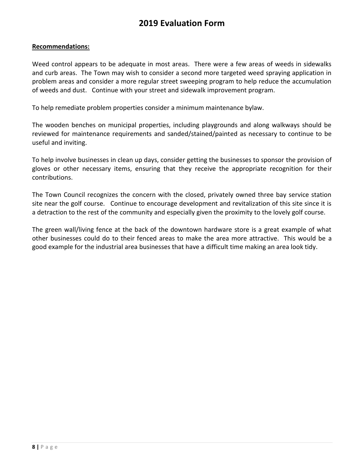#### **Recommendations:**

Weed control appears to be adequate in most areas. There were a few areas of weeds in sidewalks and curb areas. The Town may wish to consider a second more targeted weed spraying application in problem areas and consider a more regular street sweeping program to help reduce the accumulation of weeds and dust. Continue with your street and sidewalk improvement program.

To help remediate problem properties consider a minimum maintenance bylaw.

The wooden benches on municipal properties, including playgrounds and along walkways should be reviewed for maintenance requirements and sanded/stained/painted as necessary to continue to be useful and inviting.

To help involve businesses in clean up days, consider getting the businesses to sponsor the provision of gloves or other necessary items, ensuring that they receive the appropriate recognition for their contributions.

The Town Council recognizes the concern with the closed, privately owned three bay service station site near the golf course. Continue to encourage development and revitalization of this site since it is a detraction to the rest of the community and especially given the proximity to the lovely golf course.

The green wall/living fence at the back of the downtown hardware store is a great example of what other businesses could do to their fenced areas to make the area more attractive. This would be a good example for the industrial area businesses that have a difficult time making an area look tidy.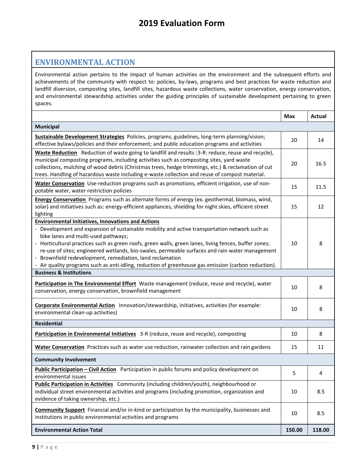#### **ENVIRONMENTAL ACTION**

Environmental action pertains to the impact of human activities on the environment and the subsequent efforts and achievements of the community with respect to: policies, by-laws, programs and best practices for waste reduction and landfill diversion, composting sites, landfill sites, hazardous waste collections, water conservation, energy conservation, and environmental stewardship activities under the guiding principles of sustainable development pertaining to green spaces.

<span id="page-8-1"></span><span id="page-8-0"></span>

|                                                                                                                                                                                                                                                                                                                                                                                                                                                                                                                                                                                   | <b>Max</b> | <b>Actual</b> |
|-----------------------------------------------------------------------------------------------------------------------------------------------------------------------------------------------------------------------------------------------------------------------------------------------------------------------------------------------------------------------------------------------------------------------------------------------------------------------------------------------------------------------------------------------------------------------------------|------------|---------------|
| <b>Municipal</b>                                                                                                                                                                                                                                                                                                                                                                                                                                                                                                                                                                  |            |               |
| Sustainable Development Strategies Policies, programs, guidelines, long-term planning/vision;<br>effective bylaws/policies and their enforcement; and public education programs and activities                                                                                                                                                                                                                                                                                                                                                                                    | 20         | 14            |
| Waste Reduction Reduction of waste going to landfill and results (3-R: reduce, reuse and recycle),<br>municipal composting programs, including activities such as composting sites, yard waste<br>collections, mulching of wood debris (Christmas trees, hedge trimmings, etc.) & reclamation of cut<br>trees. Handling of hazardous waste including e-waste collection and reuse of compost material.                                                                                                                                                                            | 20         | 16.5          |
| Water Conservation Use-reduction programs such as promotions, efficient irrigation, use of non-<br>potable water, water restriction policies                                                                                                                                                                                                                                                                                                                                                                                                                                      | 15         | 11.5          |
| Energy Conservation Programs such as alternate forms of energy (ex. geothermal, biomass, wind,<br>solar) and initiatives such as: energy-efficient appliances, shielding for night skies, efficient street<br>lighting                                                                                                                                                                                                                                                                                                                                                            | 15         | 12            |
| <b>Environmental Initiatives, Innovations and Actions</b><br>- Development and expansion of sustainable mobility and active transportation network such as<br>bike lanes and multi-used pathways;<br>- Horticultural practices such as green roofs, green walls, green lanes, living fences, buffer zones;<br>re-use of sites; engineered wetlands, bio-swales, permeable surfaces and rain water management<br>- Brownfield redevelopment, remediation, land reclamation<br>- Air quality programs such as anti-idling, reduction of greenhouse gas emission (carbon reduction). | 10         | 8             |
| <b>Business &amp; Institutions</b>                                                                                                                                                                                                                                                                                                                                                                                                                                                                                                                                                |            |               |
| Participation in The Environmental Effort Waste management (reduce, reuse and recycle), water<br>conservation, energy conservation, brownfield management                                                                                                                                                                                                                                                                                                                                                                                                                         | 10         | 8             |
| Corporate Environmental Action Innovation/stewardship, initiatives, activities (for example:<br>environmental clean-up activities)                                                                                                                                                                                                                                                                                                                                                                                                                                                | 10         | 8             |
| <b>Residential</b>                                                                                                                                                                                                                                                                                                                                                                                                                                                                                                                                                                |            |               |
| Participation in Environmental Initiatives 3-R (reduce, reuse and recycle), composting                                                                                                                                                                                                                                                                                                                                                                                                                                                                                            | 10         | 8             |
| Water Conservation Practices such as water use reduction, rainwater collection and rain gardens                                                                                                                                                                                                                                                                                                                                                                                                                                                                                   | 15         | 11            |
| <b>Community Involvement</b>                                                                                                                                                                                                                                                                                                                                                                                                                                                                                                                                                      |            |               |
| Public Participation - Civil Action Participation in public forums and policy development on<br>environmental issues                                                                                                                                                                                                                                                                                                                                                                                                                                                              | 5          | 4             |
| Public Participation in Activities Community (including children/youth), neighbourhood or<br>individual street environmental activities and programs (including promotion, organization and<br>evidence of taking ownership, etc.)                                                                                                                                                                                                                                                                                                                                                | 10         | 8.5           |
| <b>Community Support</b> Financial and/or in-kind or participation by the municipality, businesses and<br>institutions in public environmental activities and programs                                                                                                                                                                                                                                                                                                                                                                                                            | 10         | 8.5           |
| <b>Environmental Action Total</b>                                                                                                                                                                                                                                                                                                                                                                                                                                                                                                                                                 | 150.00     | 118.00        |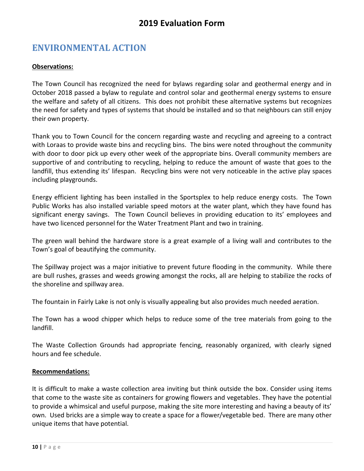# **ENVIRONMENTAL ACTION**

#### **Observations:**

The Town Council has recognized the need for bylaws regarding solar and geothermal energy and in October 2018 passed a bylaw to regulate and control solar and geothermal energy systems to ensure the welfare and safety of all citizens. This does not prohibit these alternative systems but recognizes the need for safety and types of systems that should be installed and so that neighbours can still enjoy their own property.

Thank you to Town Council for the concern regarding waste and recycling and agreeing to a contract with Loraas to provide waste bins and recycling bins. The bins were noted throughout the community with door to door pick up every other week of the appropriate bins. Overall community members are supportive of and contributing to recycling, helping to reduce the amount of waste that goes to the landfill, thus extending its' lifespan. Recycling bins were not very noticeable in the active play spaces including playgrounds.

Energy efficient lighting has been installed in the Sportsplex to help reduce energy costs. The Town Public Works has also installed variable speed motors at the water plant, which they have found has significant energy savings. The Town Council believes in providing education to its' employees and have two licenced personnel for the Water Treatment Plant and two in training.

The green wall behind the hardware store is a great example of a living wall and contributes to the Town's goal of beautifying the community.

The Spillway project was a major initiative to prevent future flooding in the community. While there are bull rushes, grasses and weeds growing amongst the rocks, all are helping to stabilize the rocks of the shoreline and spillway area.

The fountain in Fairly Lake is not only is visually appealing but also provides much needed aeration.

The Town has a wood chipper which helps to reduce some of the tree materials from going to the landfill.

The Waste Collection Grounds had appropriate fencing, reasonably organized, with clearly signed hours and fee schedule.

#### **Recommendations:**

It is difficult to make a waste collection area inviting but think outside the box. Consider using items that come to the waste site as containers for growing flowers and vegetables. They have the potential to provide a whimsical and useful purpose, making the site more interesting and having a beauty of its' own. Used bricks are a simple way to create a space for a flower/vegetable bed. There are many other unique items that have potential.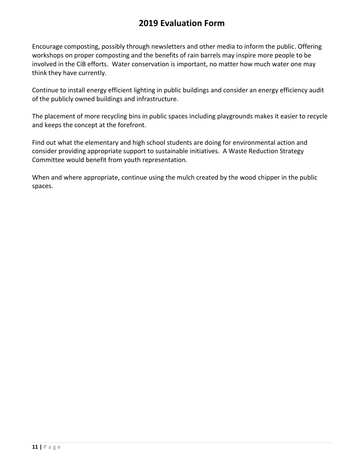Encourage composting, possibly through newsletters and other media to inform the public. Offering workshops on proper composting and the benefits of rain barrels may inspire more people to be involved in the CiB efforts. Water conservation is important, no matter how much water one may think they have currently.

Continue to install energy efficient lighting in public buildings and consider an energy efficiency audit of the publicly owned buildings and infrastructure.

The placement of more recycling bins in public spaces including playgrounds makes it easier to recycle and keeps the concept at the forefront.

Find out what the elementary and high school students are doing for environmental action and consider providing appropriate support to sustainable initiatives. A Waste Reduction Strategy Committee would benefit from youth representation.

When and where appropriate, continue using the mulch created by the wood chipper in the public spaces.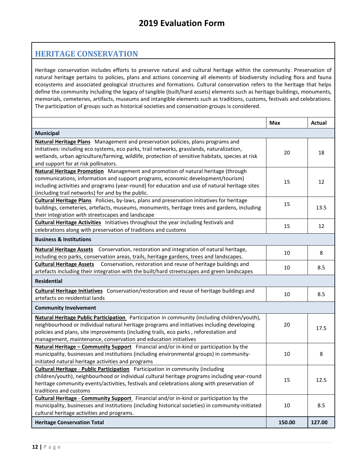#### **HERITAGE CONSERVATION**

Heritage conservation includes efforts to preserve natural and cultural heritage within the community. Preservation of natural heritage pertains to policies, plans and actions concerning all elements of biodiversity including flora and fauna ecosystems and associated geological structures and formations. Cultural conservation refers to the heritage that helps define the community including the legacy of tangible (built/hard assets) elements such as heritage buildings, monuments, memorials, cemeteries, artifacts, museums and intangible elements such as traditions, customs, festivals and celebrations. The participation of groups such as historical societies and conservation groups is considered.

<span id="page-11-0"></span>

|                                                                                                                                                                                                                                                                                                                                                               | <b>Max</b> | Actual |  |
|---------------------------------------------------------------------------------------------------------------------------------------------------------------------------------------------------------------------------------------------------------------------------------------------------------------------------------------------------------------|------------|--------|--|
| Municipal                                                                                                                                                                                                                                                                                                                                                     |            |        |  |
| <b>Natural Heritage Plans</b> Management and preservation policies, plans programs and<br>initiatives: including eco systems, eco parks, trail networks, grasslands, naturalization,<br>wetlands, urban agriculture/farming, wildlife, protection of sensitive habitats, species at risk<br>and support for at risk pollinators.                              | 20         | 18     |  |
| Natural Heritage Promotion Management and promotion of natural heritage (through<br>communications, information and support programs, economic development/tourism)<br>including activities and programs (year-round) for education and use of natural heritage sites<br>(including trail networks) for and by the public.                                    | 15         | 12     |  |
| <b>Cultural Heritage Plans</b> Policies, by-laws, plans and preservation initiatives for heritage<br>buildings, cemeteries, artefacts, museums, monuments, heritage trees and gardens, including<br>their integration with streetscapes and landscape                                                                                                         | 15         | 13.5   |  |
| <b>Cultural Heritage Activities</b> Initiatives throughout the year including festivals and<br>celebrations along with preservation of traditions and customs                                                                                                                                                                                                 | 15         | 12     |  |
| <b>Business &amp; Institutions</b>                                                                                                                                                                                                                                                                                                                            |            |        |  |
| <b>Natural Heritage Assets</b> Conservation, restoration and integration of natural heritage,<br>including eco parks, conservation areas, trails, heritage gardens, trees and landscapes.                                                                                                                                                                     | 10         | 8      |  |
| <b>Cultural Heritage Assets</b> Conservation, restoration and reuse of heritage buildings and<br>artefacts including their integration with the built/hard streetscapes and green landscapes                                                                                                                                                                  | 10         | 8.5    |  |
| <b>Residential</b>                                                                                                                                                                                                                                                                                                                                            |            |        |  |
| <b>Cultural Heritage Initiatives</b> Conservation/restoration and reuse of heritage buildings and<br>artefacts on residential lands                                                                                                                                                                                                                           | 10         | 8.5    |  |
| <b>Community Involvement</b>                                                                                                                                                                                                                                                                                                                                  |            |        |  |
| <b>Natural Heritage Public Participation</b> Participation in community (including children/youth),<br>neighbourhood or individual natural heritage programs and initiatives including developing<br>policies and plans, site improvements (including trails, eco parks, reforestation and<br>management, maintenance, conservation and education initiatives | 20         | 17.5   |  |
| Natural Heritage - Community Support Financial and/or in-kind or participation by the<br>municipality, businesses and institutions (including environmental groups) in community-<br>initiated natural heritage activities and programs                                                                                                                       | 10         | 8      |  |
| <b>Cultural Heritage - Public Participation</b> Participation in community (including<br>children/youth), neighbourhood or individual cultural heritage programs including year-round<br>heritage community events/activities, festivals and celebrations along with preservation of<br>traditions and customs                                                | 15         | 12.5   |  |
| <b>Cultural Heritage - Community Support</b> Financial and/or in-kind or participation by the<br>municipality, businesses and institutions (including historical societies) in community-initiated<br>cultural heritage activities and programs.                                                                                                              | 10         | 8.5    |  |
| <b>Heritage Conservation Total</b>                                                                                                                                                                                                                                                                                                                            | 150.00     | 127.00 |  |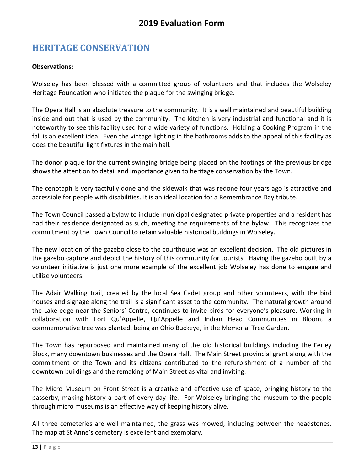# **HERITAGE CONSERVATION**

#### **Observations:**

Wolseley has been blessed with a committed group of volunteers and that includes the Wolseley Heritage Foundation who initiated the plaque for the swinging bridge.

The Opera Hall is an absolute treasure to the community. It is a well maintained and beautiful building inside and out that is used by the community. The kitchen is very industrial and functional and it is noteworthy to see this facility used for a wide variety of functions. Holding a Cooking Program in the fall is an excellent idea. Even the vintage lighting in the bathrooms adds to the appeal of this facility as does the beautiful light fixtures in the main hall.

The donor plaque for the current swinging bridge being placed on the footings of the previous bridge shows the attention to detail and importance given to heritage conservation by the Town.

The cenotaph is very tactfully done and the sidewalk that was redone four years ago is attractive and accessible for people with disabilities. It is an ideal location for a Remembrance Day tribute.

The Town Council passed a bylaw to include municipal designated private properties and a resident has had their residence designated as such, meeting the requirements of the bylaw. This recognizes the commitment by the Town Council to retain valuable historical buildings in Wolseley.

The new location of the gazebo close to the courthouse was an excellent decision. The old pictures in the gazebo capture and depict the history of this community for tourists. Having the gazebo built by a volunteer initiative is just one more example of the excellent job Wolseley has done to engage and utilize volunteers.

The Adair Walking trail, created by the local Sea Cadet group and other volunteers, with the bird houses and signage along the trail is a significant asset to the community. The natural growth around the Lake edge near the Seniors' Centre, continues to invite birds for everyone's pleasure. Working in collaboration with Fort Qu'Appelle, Qu'Appelle and Indian Head Communities in Bloom, a commemorative tree was planted, being an Ohio Buckeye, in the Memorial Tree Garden.

The Town has repurposed and maintained many of the old historical buildings including the Ferley Block, many downtown businesses and the Opera Hall. The Main Street provincial grant along with the commitment of the Town and its citizens contributed to the refurbishment of a number of the downtown buildings and the remaking of Main Street as vital and inviting.

The Micro Museum on Front Street is a creative and effective use of space, bringing history to the passerby, making history a part of every day life. For Wolseley bringing the museum to the people through micro museums is an effective way of keeping history alive.

All three cemeteries are well maintained, the grass was mowed, including between the headstones. The map at St Anne's cemetery is excellent and exemplary.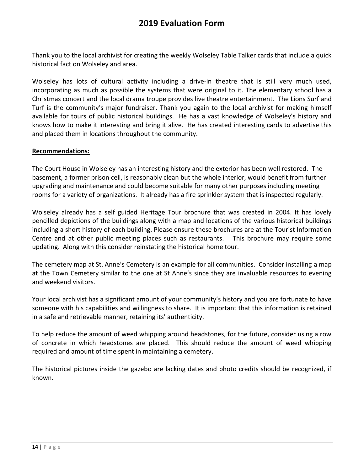Thank you to the local archivist for creating the weekly Wolseley Table Talker cards that include a quick historical fact on Wolseley and area.

Wolseley has lots of cultural activity including a drive-in theatre that is still very much used, incorporating as much as possible the systems that were original to it. The elementary school has a Christmas concert and the local drama troupe provides live theatre entertainment. The Lions Surf and Turf is the community's major fundraiser. Thank you again to the local archivist for making himself available for tours of public historical buildings. He has a vast knowledge of Wolseley's history and knows how to make it interesting and bring it alive. He has created interesting cards to advertise this and placed them in locations throughout the community.

#### **Recommendations:**

The Court House in Wolseley has an interesting history and the exterior has been well restored. The basement, a former prison cell, is reasonably clean but the whole interior, would benefit from further upgrading and maintenance and could become suitable for many other purposes including meeting rooms for a variety of organizations. It already has a fire sprinkler system that is inspected regularly.

Wolseley already has a self guided Heritage Tour brochure that was created in 2004. It has lovely pencilled depictions of the buildings along with a map and locations of the various historical buildings including a short history of each building. Please ensure these brochures are at the Tourist Information Centre and at other public meeting places such as restaurants. This brochure may require some updating. Along with this consider reinstating the historical home tour.

The cemetery map at St. Anne's Cemetery is an example for all communities. Consider installing a map at the Town Cemetery similar to the one at St Anne's since they are invaluable resources to evening and weekend visitors.

Your local archivist has a significant amount of your community's history and you are fortunate to have someone with his capabilities and willingness to share. It is important that this information is retained in a safe and retrievable manner, retaining its' authenticity.

To help reduce the amount of weed whipping around headstones, for the future, consider using a row of concrete in which headstones are placed. This should reduce the amount of weed whipping required and amount of time spent in maintaining a cemetery.

The historical pictures inside the gazebo are lacking dates and photo credits should be recognized, if known.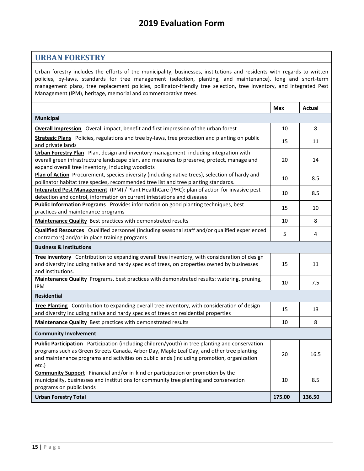#### **URBAN FORESTRY**

Urban forestry includes the efforts of the municipality, businesses, institutions and residents with regards to written policies, by-laws, standards for tree management (selection, planting, and maintenance), long and short-term management plans, tree replacement policies, pollinator-friendly tree selection, tree inventory, and Integrated Pest Management (IPM), heritage, memorial and commemorative trees.

<span id="page-14-1"></span><span id="page-14-0"></span>

|                                                                                                                                                                                                                                                                                                     | Max    | <b>Actual</b> |
|-----------------------------------------------------------------------------------------------------------------------------------------------------------------------------------------------------------------------------------------------------------------------------------------------------|--------|---------------|
| <b>Municipal</b>                                                                                                                                                                                                                                                                                    |        |               |
| <b>Overall Impression</b> Overall impact, benefit and first impression of the urban forest                                                                                                                                                                                                          | 10     | 8             |
| Strategic Plans Policies, regulations and tree by-laws, tree protection and planting on public<br>and private lands                                                                                                                                                                                 | 15     | 11            |
| Urban Forestry Plan Plan, design and inventory management including integration with<br>overall green infrastructure landscape plan, and measures to preserve, protect, manage and<br>expand overall tree inventory, including woodlots                                                             | 20     | 14            |
| Plan of Action Procurement, species diversity (including native trees), selection of hardy and<br>pollinator habitat tree species, recommended tree list and tree planting standards.                                                                                                               | 10     | 8.5           |
| Integrated Pest Management (IPM) / Plant HealthCare (PHC): plan of action for invasive pest<br>detection and control, information on current infestations and diseases                                                                                                                              | 10     | 8.5           |
| <b>Public Information Programs</b> Provides information on good planting techniques, best<br>practices and maintenance programs                                                                                                                                                                     | 15     | 10            |
| Maintenance Quality Best practices with demonstrated results                                                                                                                                                                                                                                        | 10     | 8             |
| <b>Qualified Resources</b> Qualified personnel (including seasonal staff and/or qualified experienced<br>contractors) and/or in place training programs                                                                                                                                             | 5      | 4             |
| <b>Business &amp; Institutions</b>                                                                                                                                                                                                                                                                  |        |               |
| Tree inventory Contribution to expanding overall tree inventory, with consideration of design<br>and diversity including native and hardy species of trees, on properties owned by businesses<br>and institutions.                                                                                  | 15     | 11            |
| Maintenance Quality Programs, best practices with demonstrated results: watering, pruning,<br><b>IPM</b>                                                                                                                                                                                            | 10     | 7.5           |
| <b>Residential</b>                                                                                                                                                                                                                                                                                  |        |               |
| Tree Planting Contribution to expanding overall tree inventory, with consideration of design<br>and diversity including native and hardy species of trees on residential properties                                                                                                                 | 15     | 13            |
| Maintenance Quality Best practices with demonstrated results                                                                                                                                                                                                                                        | 10     | 8             |
| <b>Community Involvement</b>                                                                                                                                                                                                                                                                        |        |               |
| Public Participation Participation (including children/youth) in tree planting and conservation<br>programs such as Green Streets Canada, Arbor Day, Maple Leaf Day, and other tree planting<br>and maintenance programs and activities on public lands (including promotion, organization<br>etc.) |        | 16.5          |
| <b>Community Support</b> Financial and/or in-kind or participation or promotion by the<br>municipality, businesses and institutions for community tree planting and conservation<br>programs on public lands                                                                                        | 10     | 8.5           |
| <b>Urban Forestry Total</b>                                                                                                                                                                                                                                                                         | 175.00 | 136.50        |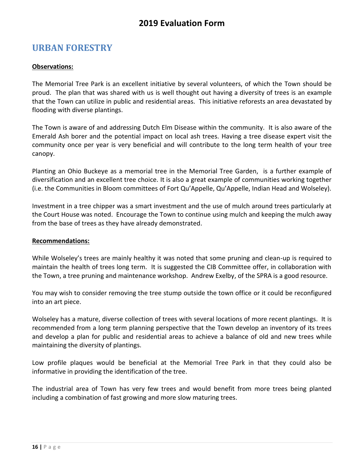## **URBAN FORESTRY**

#### **Observations:**

The Memorial Tree Park is an excellent initiative by several volunteers, of which the Town should be proud. The plan that was shared with us is well thought out having a diversity of trees is an example that the Town can utilize in public and residential areas. This initiative reforests an area devastated by flooding with diverse plantings.

The Town is aware of and addressing Dutch Elm Disease within the community. It is also aware of the Emerald Ash borer and the potential impact on local ash trees. Having a tree disease expert visit the community once per year is very beneficial and will contribute to the long term health of your tree canopy.

Planting an Ohio Buckeye as a memorial tree in the Memorial Tree Garden, is a further example of diversification and an excellent tree choice. It is also a great example of communities working together (i.e. the Communities in Bloom committees of Fort Qu'Appelle, Qu'Appelle, Indian Head and Wolseley).

Investment in a tree chipper was a smart investment and the use of mulch around trees particularly at the Court House was noted. Encourage the Town to continue using mulch and keeping the mulch away from the base of trees as they have already demonstrated.

#### **Recommendations:**

While Wolseley's trees are mainly healthy it was noted that some pruning and clean-up is required to maintain the health of trees long term. It is suggested the CIB Committee offer, in collaboration with the Town, a tree pruning and maintenance workshop. Andrew Exelby, of the SPRA is a good resource.

You may wish to consider removing the tree stump outside the town office or it could be reconfigured into an art piece.

Wolseley has a mature, diverse collection of trees with several locations of more recent plantings. It is recommended from a long term planning perspective that the Town develop an inventory of its trees and develop a plan for public and residential areas to achieve a balance of old and new trees while maintaining the diversity of plantings.

Low profile plaques would be beneficial at the Memorial Tree Park in that they could also be informative in providing the identification of the tree.

The industrial area of Town has very few trees and would benefit from more trees being planted including a combination of fast growing and more slow maturing trees.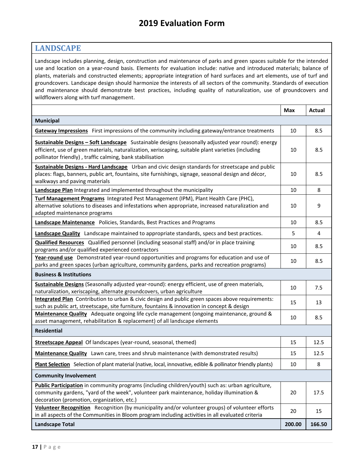#### **LANDSCAPE**

Landscape includes planning, design, construction and maintenance of parks and green spaces suitable for the intended use and location on a year-round basis. Elements for evaluation include: native and introduced materials; balance of plants, materials and constructed elements; appropriate integration of hard surfaces and art elements, use of turf and groundcovers. Landscape design should harmonize the interests of all sectors of the community. Standards of execution and maintenance should demonstrate best practices, including quality of naturalization, use of groundcovers and wildflowers along with turf management.

<span id="page-16-1"></span><span id="page-16-0"></span>

|                                                                                                                                                                                                                                                                       | <b>Max</b> | Actual |
|-----------------------------------------------------------------------------------------------------------------------------------------------------------------------------------------------------------------------------------------------------------------------|------------|--------|
| <b>Municipal</b>                                                                                                                                                                                                                                                      |            |        |
| Gateway Impressions First impressions of the community including gateway/entrance treatments                                                                                                                                                                          | 10         | 8.5    |
| Sustainable Designs - Soft Landscape Sustainable designs (seasonally adjusted year round): energy<br>efficient, use of green materials, naturalization, xeriscaping, suitable plant varieties (including<br>pollinator friendly), traffic calming, bank stabilisation | 10         | 8.5    |
| Sustainable Designs - Hard Landscape Urban and civic design standards for streetscape and public<br>places: flags, banners, public art, fountains, site furnishings, signage, seasonal design and décor,<br>walkways and paving materials                             | 10         | 8.5    |
| <b>Landscape Plan</b> Integrated and implemented throughout the municipality                                                                                                                                                                                          | 10         | 8      |
| Turf Management Programs Integrated Pest Management (IPM), Plant Health Care (PHC),<br>alternative solutions to diseases and infestations when appropriate, increased naturalization and<br>adapted maintenance programs                                              | 10         | 9      |
| <b>Landscape Maintenance</b> Policies, Standards, Best Practices and Programs                                                                                                                                                                                         | 10         | 8.5    |
| Landscape Quality Landscape maintained to appropriate standards, specs and best practices.                                                                                                                                                                            | 5          | 4      |
| <b>Qualified Resources</b> Qualified personnel (including seasonal staff) and/or in place training<br>programs and/or qualified experienced contractors                                                                                                               | 10         | 8.5    |
| Year-round use Demonstrated year-round opportunities and programs for education and use of<br>parks and green spaces (urban agriculture, community gardens, parks and recreation programs)                                                                            | 10         | 8.5    |
| <b>Business &amp; Institutions</b>                                                                                                                                                                                                                                    |            |        |
| Sustainable Designs (Seasonally adjusted year-round): energy efficient, use of green materials,<br>naturalization, xeriscaping, alternate groundcovers, urban agriculture                                                                                             | 10         | 7.5    |
| Integrated Plan Contribution to urban & civic design and public green spaces above requirements:<br>such as public art, streetscape, site furniture, fountains & innovation in concept & design                                                                       | 15         | 13     |
| Maintenance Quality Adequate ongoing life cycle management (ongoing maintenance, ground &<br>asset management, rehabilitation & replacement) of all landscape elements                                                                                                | 10         | 8.5    |
| <b>Residential</b>                                                                                                                                                                                                                                                    |            |        |
| <b>Streetscape Appeal</b> Of landscapes (year-round, seasonal, themed)                                                                                                                                                                                                | 15         | 12.5   |
| Maintenance Quality Lawn care, trees and shrub maintenance (with demonstrated results)                                                                                                                                                                                | 15         | 12.5   |
| Plant Selection Selection of plant material (native, local, innovative, edible & pollinator friendly plants)                                                                                                                                                          | 10         | 8      |
| <b>Community Involvement</b>                                                                                                                                                                                                                                          |            |        |
| Public Participation in community programs (including children/youth) such as: urban agriculture,<br>community gardens, "yard of the week", volunteer park maintenance, holiday illumination &<br>decoration (promotion, organization, etc.)                          | 20         | 17.5   |
| Volunteer Recognition Recognition (by municipality and/or volunteer groups) of volunteer efforts<br>in all aspects of the Communities in Bloom program including activities in all evaluated criteria                                                                 | 20         | 15     |
| <b>Landscape Total</b>                                                                                                                                                                                                                                                | 200.00     | 166.50 |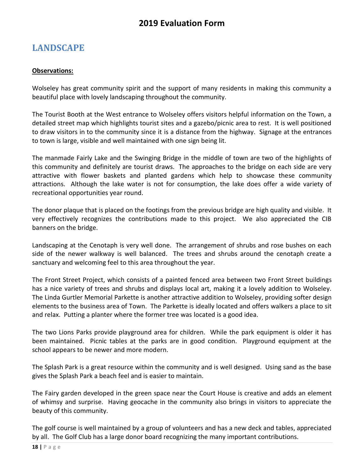# **LANDSCAPE**

#### **Observations:**

Wolseley has great community spirit and the support of many residents in making this community a beautiful place with lovely landscaping throughout the community.

The Tourist Booth at the West entrance to Wolseley offers visitors helpful information on the Town, a detailed street map which highlights tourist sites and a gazebo/picnic area to rest. It is well positioned to draw visitors in to the community since it is a distance from the highway. Signage at the entrances to town is large, visible and well maintained with one sign being lit.

The manmade Fairly Lake and the Swinging Bridge in the middle of town are two of the highlights of this community and definitely are tourist draws. The approaches to the bridge on each side are very attractive with flower baskets and planted gardens which help to showcase these community attractions. Although the lake water is not for consumption, the lake does offer a wide variety of recreational opportunities year round.

The donor plaque that is placed on the footings from the previous bridge are high quality and visible. It very effectively recognizes the contributions made to this project. We also appreciated the CIB banners on the bridge.

Landscaping at the Cenotaph is very well done. The arrangement of shrubs and rose bushes on each side of the newer walkway is well balanced. The trees and shrubs around the cenotaph create a sanctuary and welcoming feel to this area throughout the year.

The Front Street Project, which consists of a painted fenced area between two Front Street buildings has a nice variety of trees and shrubs and displays local art, making it a lovely addition to Wolseley. The Linda Gurtler Memorial Parkette is another attractive addition to Wolseley, providing softer design elements to the business area of Town. The Parkette is ideally located and offers walkers a place to sit and relax. Putting a planter where the former tree was located is a good idea.

The two Lions Parks provide playground area for children. While the park equipment is older it has been maintained. Picnic tables at the parks are in good condition. Playground equipment at the school appears to be newer and more modern.

The Splash Park is a great resource within the community and is well designed. Using sand as the base gives the Splash Park a beach feel and is easier to maintain.

The Fairy garden developed in the green space near the Court House is creative and adds an element of whimsy and surprise. Having geocache in the community also brings in visitors to appreciate the beauty of this community.

The golf course is well maintained by a group of volunteers and has a new deck and tables, appreciated by all. The Golf Club has a large donor board recognizing the many important contributions.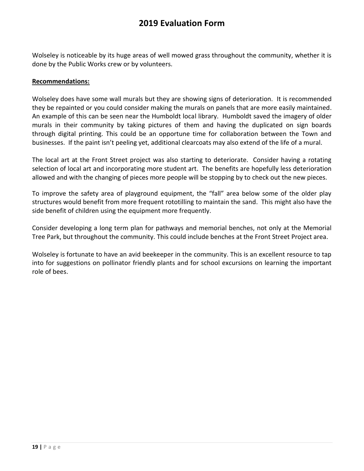Wolseley is noticeable by its huge areas of well mowed grass throughout the community, whether it is done by the Public Works crew or by volunteers.

#### **Recommendations:**

Wolseley does have some wall murals but they are showing signs of deterioration. It is recommended they be repainted or you could consider making the murals on panels that are more easily maintained. An example of this can be seen near the Humboldt local library. Humboldt saved the imagery of older murals in their community by taking pictures of them and having the duplicated on sign boards through digital printing. This could be an opportune time for collaboration between the Town and businesses. If the paint isn't peeling yet, additional clearcoats may also extend of the life of a mural.

The local art at the Front Street project was also starting to deteriorate. Consider having a rotating selection of local art and incorporating more student art. The benefits are hopefully less deterioration allowed and with the changing of pieces more people will be stopping by to check out the new pieces.

To improve the safety area of playground equipment, the "fall" area below some of the older play structures would benefit from more frequent rototilling to maintain the sand. This might also have the side benefit of children using the equipment more frequently.

Consider developing a long term plan for pathways and memorial benches, not only at the Memorial Tree Park, but throughout the community. This could include benches at the Front Street Project area.

Wolseley is fortunate to have an avid beekeeper in the community. This is an excellent resource to tap into for suggestions on pollinator friendly plants and for school excursions on learning the important role of bees.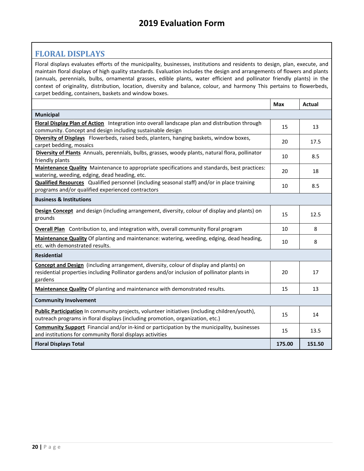#### **FLORAL DISPLAYS**

Floral displays evaluates efforts of the municipality, businesses, institutions and residents to design, plan, execute, and maintain floral displays of high quality standards. Evaluation includes the design and arrangements of flowers and plants (annuals, perennials, bulbs, ornamental grasses, edible plants, water efficient and pollinator friendly plants) in the context of originality, distribution, location, diversity and balance, colour, and harmony This pertains to flowerbeds, carpet bedding, containers, baskets and window boxes.

<span id="page-19-1"></span><span id="page-19-0"></span>

|                                                                                                                                                                                                          | <b>Max</b> | <b>Actual</b> |
|----------------------------------------------------------------------------------------------------------------------------------------------------------------------------------------------------------|------------|---------------|
| Municipal                                                                                                                                                                                                |            |               |
| Floral Display Plan of Action Integration into overall landscape plan and distribution through<br>community. Concept and design including sustainable design                                             | 15         | 13            |
| Diversity of Displays Flowerbeds, raised beds, planters, hanging baskets, window boxes,<br>carpet bedding, mosaics                                                                                       | 20         | 17.5          |
| Diversity of Plants Annuals, perennials, bulbs, grasses, woody plants, natural flora, pollinator<br>friendly plants                                                                                      | 10         | 8.5           |
| Maintenance Quality Maintenance to appropriate specifications and standards, best practices:<br>watering, weeding, edging, dead heading, etc.                                                            | 20         | 18            |
| Qualified Resources Qualified personnel (including seasonal staff) and/or in place training<br>programs and/or qualified experienced contractors                                                         | 10         | 8.5           |
| <b>Business &amp; Institutions</b>                                                                                                                                                                       |            |               |
| Design Concept and design (including arrangement, diversity, colour of display and plants) on<br>grounds                                                                                                 | 15         | 12.5          |
| <b>Overall Plan</b> Contribution to, and integration with, overall community floral program                                                                                                              | 10         | 8             |
| Maintenance Quality Of planting and maintenance: watering, weeding, edging, dead heading,<br>etc. with demonstrated results.                                                                             | 10         | 8             |
| <b>Residential</b>                                                                                                                                                                                       |            |               |
| <b>Concept and Design</b> (including arrangement, diversity, colour of display and plants) on<br>residential properties including Pollinator gardens and/or inclusion of pollinator plants in<br>gardens | 20         | 17            |
| Maintenance Quality Of planting and maintenance with demonstrated results.                                                                                                                               | 15         | 13            |
| <b>Community Involvement</b>                                                                                                                                                                             |            |               |
| Public Participation In community projects, volunteer initiatives (including children/youth),<br>outreach programs in floral displays (including promotion, organization, etc.)                          | 15         | 14            |
| <b>Community Support</b> Financial and/or in-kind or participation by the municipality, businesses<br>and institutions for community floral displays activities                                          | 15         | 13.5          |
| <b>Floral Displays Total</b>                                                                                                                                                                             | 175.00     | 151.50        |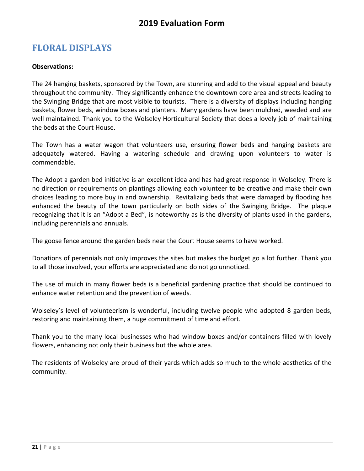# **FLORAL DISPLAYS**

#### **Observations:**

The 24 hanging baskets, sponsored by the Town, are stunning and add to the visual appeal and beauty throughout the community. They significantly enhance the downtown core area and streets leading to the Swinging Bridge that are most visible to tourists. There is a diversity of displays including hanging baskets, flower beds, window boxes and planters. Many gardens have been mulched, weeded and are well maintained. Thank you to the Wolseley Horticultural Society that does a lovely job of maintaining the beds at the Court House.

The Town has a water wagon that volunteers use, ensuring flower beds and hanging baskets are adequately watered. Having a watering schedule and drawing upon volunteers to water is commendable.

The Adopt a garden bed initiative is an excellent idea and has had great response in Wolseley. There is no direction or requirements on plantings allowing each volunteer to be creative and make their own choices leading to more buy in and ownership. Revitalizing beds that were damaged by flooding has enhanced the beauty of the town particularly on both sides of the Swinging Bridge. The plaque recognizing that it is an "Adopt a Bed", is noteworthy as is the diversity of plants used in the gardens, including perennials and annuals.

The goose fence around the garden beds near the Court House seems to have worked.

Donations of perennials not only improves the sites but makes the budget go a lot further. Thank you to all those involved, your efforts are appreciated and do not go unnoticed.

The use of mulch in many flower beds is a beneficial gardening practice that should be continued to enhance water retention and the prevention of weeds.

Wolseley's level of volunteerism is wonderful, including twelve people who adopted 8 garden beds, restoring and maintaining them, a huge commitment of time and effort.

Thank you to the many local businesses who had window boxes and/or containers filled with lovely flowers, enhancing not only their business but the whole area.

The residents of Wolseley are proud of their yards which adds so much to the whole aesthetics of the community.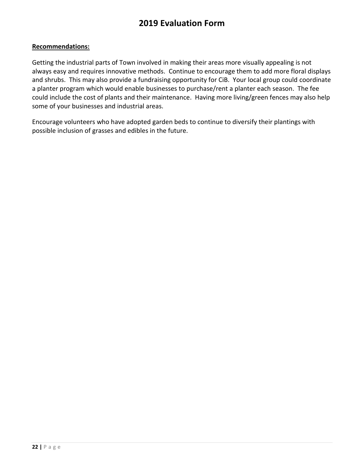#### **Recommendations:**

Getting the industrial parts of Town involved in making their areas more visually appealing is not always easy and requires innovative methods. Continue to encourage them to add more floral displays and shrubs. This may also provide a fundraising opportunity for CiB. Your local group could coordinate a planter program which would enable businesses to purchase/rent a planter each season. The fee could include the cost of plants and their maintenance. Having more living/green fences may also help some of your businesses and industrial areas.

Encourage volunteers who have adopted garden beds to continue to diversify their plantings with possible inclusion of grasses and edibles in the future.